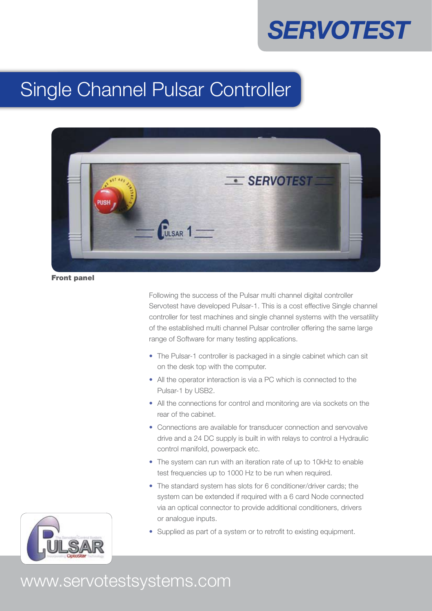# **SERVOTEST**

## Single Channel Pulsar Controller



Front panel

Following the success of the Pulsar multi channel digital controller Servotest have developed Pulsar-1. This is a cost effective Single channel controller for test machines and single channel systems with the versatility of the established multi channel Pulsar controller offering the same large range of Software for many testing applications.

- The Pulsar-1 controller is packaged in a single cabinet which can sit on the desk top with the computer.
- All the operator interaction is via a PC which is connected to the Pulsar-1 by USB2.
- All the connections for control and monitoring are via sockets on the rear of the cabinet.
- Connections are available for transducer connection and servovalve drive and a 24 DC supply is built in with relays to control a Hydraulic control manifold, powerpack etc.
- The system can run with an iteration rate of up to 10kHz to enable test frequencies up to 1000 Hz to be run when required.
- The standard system has slots for 6 conditioner/driver cards; the system can be extended if required with a 6 card Node connected via an optical connector to provide additional conditioners, drivers or analogue inputs.
- Supplied as part of a system or to retrofit to existing equipment.



### www.servotestsystems.com